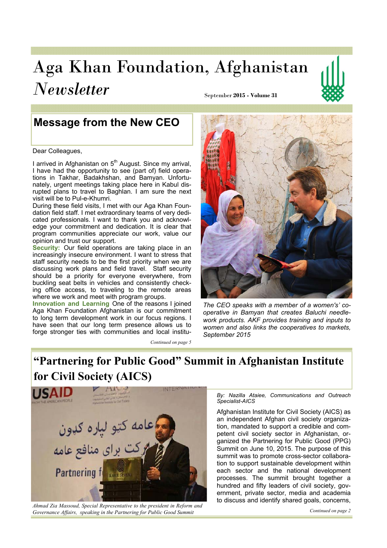# Aga Khan Foundation, Afghanistan *Newsletter* September **2015 - Volume 31**



# **Message from the New CEO**

Dear Colleagues,

I arrived in Afghanistan on 5<sup>th</sup> August. Since my arrival, I have had the opportunity to see (part of) field operations in Takhar, Badakhshan, and Bamyan. Unfortunately, urgent meetings taking place here in Kabul disrupted plans to travel to Baghlan. I am sure the next visit will be to Pul-e-Khumri.

During these field visits, I met with our Aga Khan Foundation field staff. I met extraordinary teams of very dedicated professionals. I want to thank you and acknowledge your commitment and dedication. It is clear that program communities appreciate our work, value our opinion and trust our support.

**Security:** Our field operations are taking place in an increasingly insecure environment. I want to stress that staff security needs to be the first priority when we are discussing work plans and field travel. Staff security should be a priority for everyone everywhere, from buckling seat belts in vehicles and consistently checking office access, to traveling to the remote areas where we work and meet with program groups.

Innovation and Learning One of the reasons I joined Aga Khan Foundation Afghanistan is our commitment to long term development work in our focus regions. I have seen that our long term presence allows us to forge stronger ties with communities and local institu-

*Continued on page 5* 



*The CEO speaks with a member of a women's' cooperative in Bamyan that creates Baluchi needlework products. AKF provides training and inputs to women and also links the cooperatives to markets, September 2015* 

# "Partnering for Public Good" Summit in Afghanistan Institute **for Civil Society (AICS)**



*Ahmad Zia Massoud, Special Representative to the president in Reform and Governance Affairs, speaking in the Partnering for Public Good Summit*

*By: Nazilla Ataiee, Communications and Outreach Specialist-AICS* 

Afghanistan Institute for Civil Society (AICS) as an independent Afghan civil society organization, mandated to support a credible and competent civil society sector in Afghanistan, organized the Partnering for Public Good (PPG) Summit on June 10, 2015. The purpose of this summit was to promote cross-sector collaboration to support sustainable development within each sector and the national development processes. The summit brought together a hundred and fifty leaders of civil society, government, private sector, media and academia to discuss and identify shared goals, concerns,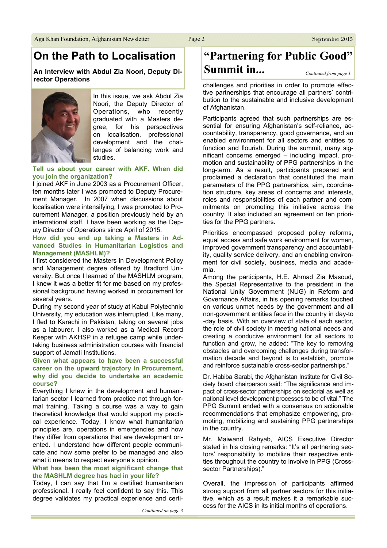### On the Path to Localisation

An Interview with Abdul Zia Noori, Deputy Director Operations



In this issue, we ask Abdul Zia Noori, the Deputy Director of Operations, who recently graduated with a Masters degree, for his perspectives on localisation, professional development and the challenges of balancing work and studies.

#### Tell us about your career with AKF. When did you join the organization?

I joined AKF in June 2003 as a Procurement Officer, ten months later I was promoted to Deputy Procurement Manager. In 2007 when discussions about localisation were intensifying, I was promoted to Procurement Manager, a position previously held by an international staff. I have been working as the Deputy Director of Operations since April of 2015.

#### How did you end up taking a Masters in Advanced Studies in Humanitarian Logistics and **Management (MASHLM)?**

I first considered the Masters in Development Policy and Management degree offered by Bradford University. But once I learned of the MASHLM program. I knew it was a better fit for me based on my professional background having worked in procurement for several years.

During my second year of study at Kabul Polytechnic University, my education was interrupted. Like many, I fled to Karachi in Pakistan, taking on several jobs as a labourer. I also worked as a Medical Record Keeper with AKHSP in a refugee camp while undertaking business administration courses with financial support of Jamati Institutions.

#### Given what appears to have been a successful career on the upward trajectory in Procurement, why did you decide to undertake an academic course?

Everything I knew in the development and humanitarian sector I learned from practice not through formal training. Taking a course was a way to gain theoretical knowledge that would support my practical experience. Today, I know what humanitarian principles are, operations in emergencies and how they differ from operations that are development oriented. I understand how different people communicate and how some prefer to be managed and also what it means to respect everyone's opinion.

#### What has been the most significant change that the MASHLM degree has had in your life?

Today, I can say that I'm a certified humanitarian professional. I really feel confident to say this. This degree validates my practical experience and certi-

### "Partnering for Public Good" Summit in... Continued from page 1

challenges and priorities in order to promote effective partnerships that encourage all partners' contribution to the sustainable and inclusive development of Afghanistan.

Participants agreed that such partnerships are essential for ensuring Afghanistan's self-reliance, accountability, transparency, good governance, and an enabled environment for all sectors and entities to function and flourish. During the summit, many significant concerns emerged – including impact, promotion and sustainability of PPG partnerships in the long-term. As a result, participants prepared and proclaimed a declaration that constituted the main parameters of the PPG partnerships, aim, coordination structure, key areas of concerns and interests. roles and responsibilities of each partner and commitments on promoting this initiative across the country. It also included an agreement on ten priorities for the PPG partners.

Priorities encompassed proposed policy reforms, equal access and safe work environment for women, improved government transparency and accountability, quality service delivery, and an enabling environment for civil society, business, media and academia

Among the participants, H.E. Ahmad Zia Masoud, the Special Representative to the president in the National Unity Government (NUG) in Reform and Governance Affairs, in his opening remarks touched on various unmet needs by the government and all non-government entities face in the country in day-to -day basis. With an overview of state of each sector, the role of civil society in meeting national needs and creating a conducive environment for all sectors to function and grow, he added: "The key to removing obstacles and overcoming challenges during transformation decade and beyond is to establish, promote and reinforce sustainable cross-sector partnerships."

Dr. Habiba Sarabi, the Afghanistan Institute for Civil Society board chairperson said: "The significance and impact of cross-sector partnerships on sectorial as well as national level development processes to be of vital." The PPG Summit ended with a consensus on actionable recommendations that emphasize empowering, promoting, mobilizing and sustaining PPG partnerships in the country.

Mr. Maiwand Rahyab, AICS Executive Director stated in his closing remarks: "It's all partnering sectors' responsibility to mobilize their respective entities throughout the country to involve in PPG (Crosssector Partnerships)."

Overall, the impression of participants affirmed strong support from all partner sectors for this initiative, which as a result makes it a remarkable success for the AICS in its initial months of operations.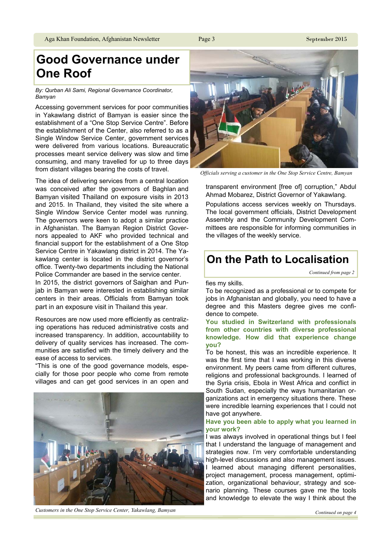# **Good Governance under One Roof**

*By: Qurban Ali Sami, Regional Governance Coordinator, Bamyan*

Accessing government services for poor communities in Yakawlang district of Bamvan is easier since the establishment of a "One Stop Service Centre". Before the establishment of the Center, also referred to as a Single Window Service Center, government services were delivered from various locations. Bureaucratic processes meant service delivery was slow and time consuming, and many travelled for up to three days from distant villages bearing the costs of travel.

The idea of delivering services from a central location was conceived after the governors of Baghlan and Bamyan visited Thailand on exposure visits in 2013 and 2015. In Thailand, they visited the site where a Single Window Service Center model was running. The governors were keen to adopt a similar practice in Afghanistan. The Bamyan Region District Governors appealed to AKF who provided technical and financial support for the establishment of a One Stop Service Centre in Yakawlang district in 2014. The Yakawlang center is located in the district governor's office. Twenty-two departments including the National Police Commander are based in the service center.

In 2015, the district governors of Saighan and Punjab in Bamyan were interested in establishing similar centers in their areas. Officials from Bamyan took part in an exposure visit in Thailand this year.

Resources are now used more efficiently as centralizing operations has reduced administrative costs and increased transparency. In addition, accountability to delivery of quality services has increased. The communities are satisfied with the timely delivery and the ease of access to services.

"This is one of the good governance models, especially for those poor people who come from remote villages and can get good services in an open and



*Customers in the One Stop Service Center, Yakawlang, Bamyan*



*Officials serving a customer in the One Stop Service Centre, Bamyan*

transparent environment [free of] corruption," Abdul Ahmad Mobarez, District Governor of Yakawlang.

Populations access services weekly on Thursdays. The local government officials, District Development Assembly and the Community Development Committees are responsible for informing communities in the villages of the weekly service.

# **2006 The Path to Localisation**

*Continued from page 2* 

#### fies my skills.

To be recognized as a professional or to compete for jobs in Afghanistan and globally, you need to have a degree and this Masters degree gives me confidence to compete.

#### You studied in Switzerland with professionals from other countries with diverse professional knowledge. How did that experience change **<u>vou?</u>**

To be honest, this was an incredible experience. It was the first time that I was working in this diverse environment. My peers came from different cultures, religions and professional backgrounds. I learned of the Syria crisis, Ebola in West Africa and conflict in South Sudan, especially the ways humanitarian organizations act in emergency situations there. These were incredible learning experiences that I could not have got anywhere.

#### Have you been able to apply what you learned in **vour work?**

I was always involved in operational things but I feel that I understand the language of management and strategies now. I'm very comfortable understanding high-level discussions and also management issues. I learned about managing different personalities. project management, process management, optimization, organizational behaviour, strategy and scenario planning. These courses gave me the tools and knowledge to elevate the way I think about the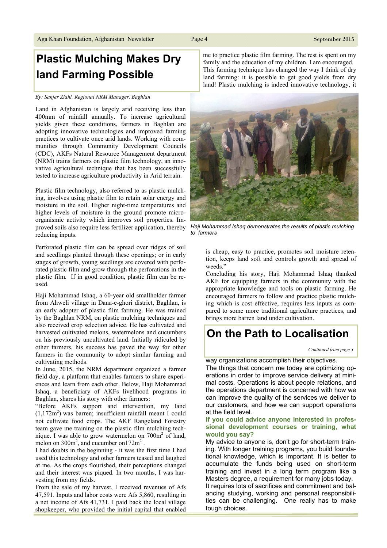# **Plastic Mulching Makes Dry** land Farming Possible

#### By: Sanjer Ziahi, Regional NRM Manager, Baghlan

Land in Afghanistan is largely arid receiving less than 400mm of rainfall annually. To increase agricultural yields given these conditions, farmers in Baghlan are adopting innovative technologies and improved farming practices to cultivate once arid lands. Working with communities through Community Development Councils (CDC), AKFs Natural Resource Management department (NRM) trains farmers on plastic film technology, an innovative agricultural technique that has been successfully tested to increase agriculture productivity in Arid terrain.

Plastic film technology, also referred to as plastic mulching, involves using plastic film to retain solar energy and moisture in the soil. Higher night-time temperatures and higher levels of moisture in the ground promote microorganismic activity which improves soil properties. Improved soils also require less fertilizer application, thereby reducing inputs.

Perforated plastic film can be spread over ridges of soil and seedlings planted through these openings; or in early stages of growth, young seedlings are covered with perforated plastic film and grow through the perforations in the plastic film. If in good condition, plastic film can be reused

Haji Mohammad Ishaq, a 60-year old smallholder farmer from Ahweli village in Dana-e-ghori district, Baghlan, is an early adopter of plastic film farming. He was trained by the Baghlan NRM, on plastic mulching techniques and also received crop selection advice. He has cultivated and harvested cultivated melons, watermelons and cucumbers on his previously uncultivated land. Initially ridiculed by other farmers, his success has paved the way for other farmers in the community to adopt similar farming and cultivating methods.

In June, 2015, the NRM department organized a farmer field day, a platform that enables farmers to share experiences and learn from each other. Below, Haji Mohammad Ishaq, a beneficiary of AKFs livelihood programs in Baghlan, shares his story with other farmers:

"Before AKFs support and intervention, my land  $(1,172m<sup>2</sup>)$  was barren; insufficient rainfall meant I could not cultivate food crops. The AKF Rangeland Forestry team gave me training on the plastic film mulching technique. I was able to grow watermelon on  $700m<sup>2</sup>$  of land, melon on  $300m^2$ , and cucumber on  $172m^2$ .

I had doubts in the beginning - it was the first time I had used this technology and other farmers teased and laughed at me. As the crops flourished, their perceptions changed and their interest was piqued. In two months, I was harvesting from my fields.

From the sale of my harvest, I received revenues of Afs 47,591. Inputs and labor costs were Afs 5,860, resulting in a net income of Afs 41,731. I paid back the local village shopkeeper, who provided the initial capital that enabled me to practice plastic film farming. The rest is spent on my family and the education of my children. I am encouraged. This farming technique has changed the way I think of dry land farming: it is possible to get good yields from dry land! Plastic mulching is indeed innovative technology, it

Haji Mohammad Ishaq demonstrates the results of plastic mulching

is cheap, easy to practice, promotes soil moisture retention, keeps land soft and controls growth and spread of weeds."

Concluding his story, Haji Mohammad Ishaq thanked AKF for equipping farmers in the community with the appropriate knowledge and tools on plastic farming. He encouraged farmers to follow and practice plastic mulching which is cost effective, requires less inputs as compared to some more traditional agriculture practices, and brings more barren land under cultivation.

# On the Path to Localisation

#### way organizations accomplish their objectives.

The things that concern me today are optimizing operations in order to improve service delivery at minimal costs. Operations is about people relations, and the operations department is concerned with how we can improve the quality of the services we deliver to our customers, and how we can support operations at the field level.

#### If you could advice anyone interested in professional development courses or training, what would you say?

My advice to anyone is, don't go for short-term training. With longer training programs, you build foundational knowledge, which is important. It is better to accumulate the funds being used on short-term training and invest in a long term program like a Masters degree, a requirement for many jobs today. It requires lots of sacrifices and commitment and bal-

ancing studying, working and personal responsibilities can be challenging. One really has to make tough choices.





to farmers

Continued from page 3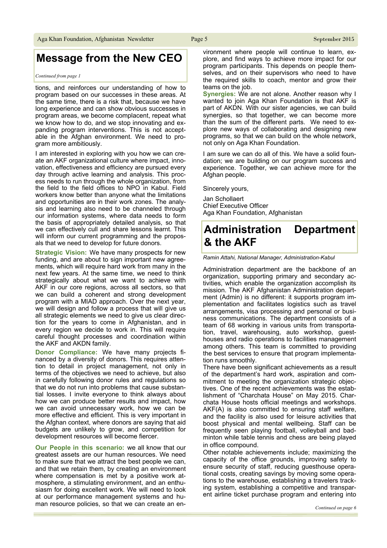### **Message from the New CEO**

#### Continued from page 1

tions, and reinforces our understanding of how to program based on our successes in these areas. At the same time, there is a risk that, because we have long experience and can show obvious successes in program areas, we become complacent, repeat what we know how to do, and we stop innovating and expanding program interventions. This is not acceptable in the Afghan environment. We need to program more ambitiously.

I am interested in exploring with you how we can create an AKF organizational culture where impact, innovation, effectiveness and efficiency are pursued every day through active learning and analysis. This process needs to run through the whole organization, from the field to the field offices to NPO in Kabul. Field workers know better than anyone what the limitations and opportunities are in their work zones. The analysis and learning also need to be channeled through our information systems, where data needs to form the basis of appropriately detailed analysis, so that we can effectively cull and share lessons learnt. This will inform our current programming and the proposals that we need to develop for future donors.

Strategic Vision: We have many prospects for new funding, and are about to sign important new agreements, which will require hard work from many in the next few years. At the same time, we need to think strategically about what we want to achieve with AKF in our core regions, across all sectors, so that we can build a coherent and strong development program with a MIAD approach. Over the next year, we will design and follow a process that will give us all strategic elements we need to give us clear direction for the years to come in Afghanistan, and in every region we decide to work in. This will require careful thought processes and coordination within the AKF and AKDN family.

Donor Compliance: We have many projects financed by a diversity of donors. This requires attention to detail in project management, not only in terms of the objectives we need to achieve, but also in carefully following donor rules and regulations so that we do not run into problems that cause substantial losses. I invite everyone to think always about how we can produce better results and impact, how we can avoid unnecessary work, how we can be more effective and efficient. This is very important in the Afghan context, where donors are saying that aid budgets are unlikely to grow, and competition for development resources will become fiercer.

Our People in this scenario: we all know that our greatest assets are our human resources. We need to make sure that we attract the best people we can. and that we retain them, by creating an environment where compensation is met by a positive work atmosphere, a stimulating environment, and an enthusiasm for doing excellent work. We will need to look at our performance management systems and human resource policies, so that we can create an environment where people will continue to learn, explore, and find ways to achieve more impact for our program participants. This depends on people themselves, and on their supervisors who need to have the required skills to coach, mentor and grow their teams on the job.

Synergies: We are not alone. Another reason why I wanted to join Aga Khan Foundation is that AKF is part of AKDN. With our sister agencies, we can build synergies, so that together, we can become more than the sum of the different parts. We need to explore new ways of collaborating and designing new programs, so that we can build on the whole network, not only on Aga Khan Foundation.

I am sure we can do all of this. We have a solid foundation; we are building on our program success and experience. Together, we can achieve more for the Afghan people.

Sincerely yours,

Jan Schollaert **Chief Executive Officer** Aga Khan Foundation, Afghanistan

#### **Administration Department** & the AKF

Ramin Attahi, National Manager, Administration-Kabul

Administration department are the backbone of an organization, supporting primary and secondary activities, which enable the organization accomplish its mission. The AKF Afghanistan Administration department (Admin) is no different: it supports program implementation and facilitates logistics such as travel arrangements, visa processing and personal or business communications. The department consists of a team of 68 working in various units from transportation, travel, warehousing, auto workshop, guesthouses and radio operations to facilities management among others. This team is committed to providing the best services to ensure that program implementation runs smoothly.

There have been significant achievements as a result of the department's hard work, aspiration and commitment to meeting the organization strategic objectives. One of the recent achievements was the establishment of "Charchata House" on May 2015. Charchata House hosts official meetings and workshops. AKF(A) is also committed to ensuring staff welfare, and the facility is also used for leisure activities that boost physical and mental wellbeing. Staff can be frequently seen playing football, volleyball and badminton while table tennis and chess are being played in office compound.

Other notable achievements include; maximizing the capacity of the office grounds, improving safety to ensure security of staff, reducing guesthouse operational costs, creating savings by moving some operations to the warehouse, establishing a travelers tracking system, establishing a competitive and transparent airline ticket purchase program and entering into